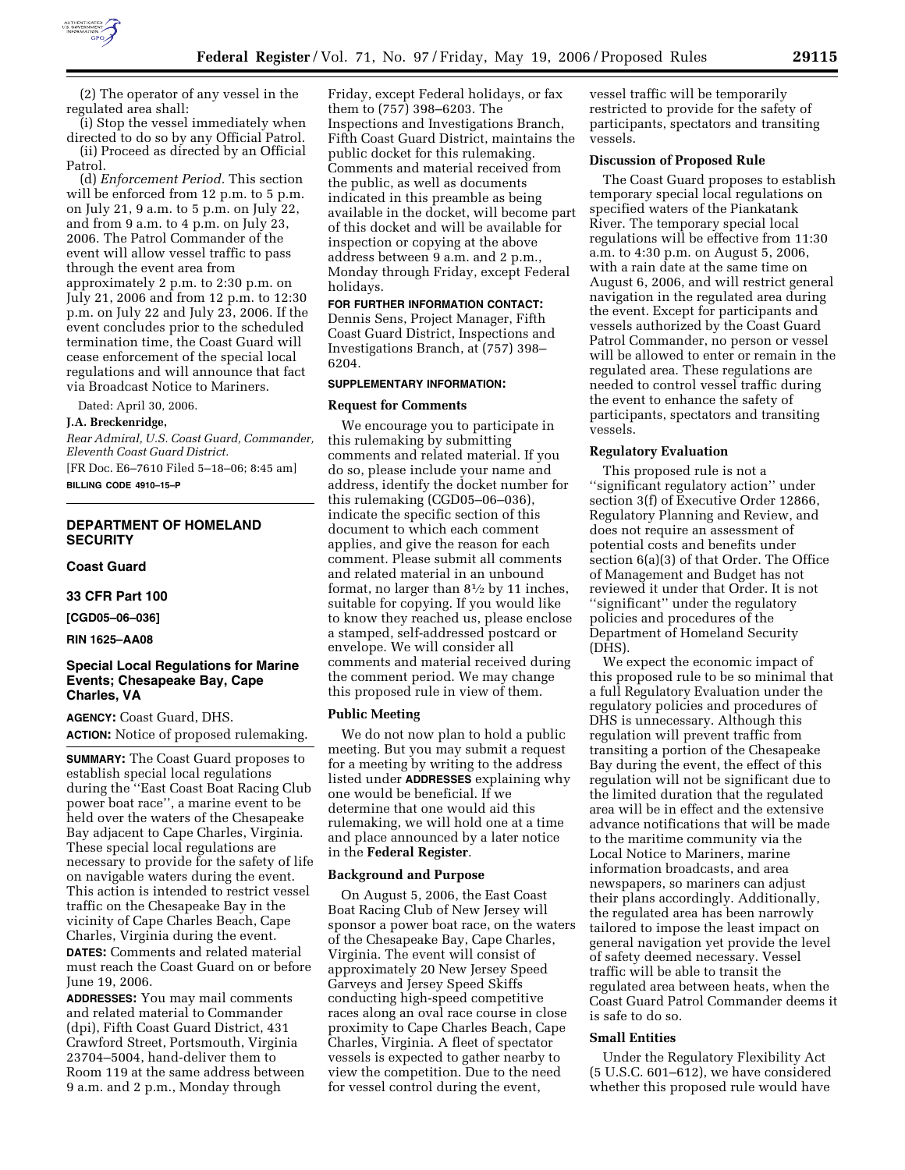

(2) The operator of any vessel in the regulated area shall:

(i) Stop the vessel immediately when directed to do so by any Official Patrol. (ii) Proceed as directed by an Official Patrol.

(d) *Enforcement Period.* This section will be enforced from 12 p.m. to 5 p.m. on July 21, 9 a.m. to 5 p.m. on July 22, and from 9 a.m. to 4 p.m. on July 23, 2006. The Patrol Commander of the event will allow vessel traffic to pass through the event area from approximately 2 p.m. to 2:30 p.m. on July 21, 2006 and from 12 p.m. to 12:30 p.m. on July 22 and July 23, 2006. If the event concludes prior to the scheduled termination time, the Coast Guard will cease enforcement of the special local regulations and will announce that fact via Broadcast Notice to Mariners.

Dated: April 30, 2006.

#### **J.A. Breckenridge,**

*Rear Admiral, U.S. Coast Guard, Commander, Eleventh Coast Guard District.* 

[FR Doc. E6–7610 Filed 5–18–06; 8:45 am] **BILLING CODE 4910–15–P** 

## **DEPARTMENT OF HOMELAND SECURITY**

**Coast Guard** 

**33 CFR Part 100** 

**[CGD05–06–036]** 

**RIN 1625–AA08** 

# **Special Local Regulations for Marine Events; Chesapeake Bay, Cape Charles, VA**

**AGENCY:** Coast Guard, DHS. **ACTION:** Notice of proposed rulemaking.

**SUMMARY:** The Coast Guard proposes to establish special local regulations during the ''East Coast Boat Racing Club power boat race'', a marine event to be held over the waters of the Chesapeake Bay adjacent to Cape Charles, Virginia. These special local regulations are necessary to provide for the safety of life on navigable waters during the event. This action is intended to restrict vessel traffic on the Chesapeake Bay in the vicinity of Cape Charles Beach, Cape Charles, Virginia during the event. **DATES:** Comments and related material must reach the Coast Guard on or before June 19, 2006.

**ADDRESSES:** You may mail comments and related material to Commander (dpi), Fifth Coast Guard District, 431 Crawford Street, Portsmouth, Virginia 23704–5004, hand-deliver them to Room 119 at the same address between 9 a.m. and 2 p.m., Monday through

Friday, except Federal holidays, or fax them to (757) 398–6203. The Inspections and Investigations Branch, Fifth Coast Guard District, maintains the public docket for this rulemaking. Comments and material received from the public, as well as documents indicated in this preamble as being available in the docket, will become part of this docket and will be available for inspection or copying at the above address between 9 a.m. and 2 p.m., Monday through Friday, except Federal holidays.

# **FOR FURTHER INFORMATION CONTACT:**

Dennis Sens, Project Manager, Fifth Coast Guard District, Inspections and Investigations Branch, at (757) 398– 6204.

#### **SUPPLEMENTARY INFORMATION:**

#### **Request for Comments**

We encourage you to participate in this rulemaking by submitting comments and related material. If you do so, please include your name and address, identify the docket number for this rulemaking (CGD05–06–036), indicate the specific section of this document to which each comment applies, and give the reason for each comment. Please submit all comments and related material in an unbound format, no larger than 81⁄2 by 11 inches, suitable for copying. If you would like to know they reached us, please enclose a stamped, self-addressed postcard or envelope. We will consider all comments and material received during the comment period. We may change this proposed rule in view of them.

#### **Public Meeting**

We do not now plan to hold a public meeting. But you may submit a request for a meeting by writing to the address listed under **ADDRESSES** explaining why one would be beneficial. If we determine that one would aid this rulemaking, we will hold one at a time and place announced by a later notice in the **Federal Register**.

### **Background and Purpose**

On August 5, 2006, the East Coast Boat Racing Club of New Jersey will sponsor a power boat race, on the waters of the Chesapeake Bay, Cape Charles, Virginia. The event will consist of approximately 20 New Jersey Speed Garveys and Jersey Speed Skiffs conducting high-speed competitive races along an oval race course in close proximity to Cape Charles Beach, Cape Charles, Virginia. A fleet of spectator vessels is expected to gather nearby to view the competition. Due to the need for vessel control during the event,

vessel traffic will be temporarily restricted to provide for the safety of participants, spectators and transiting vessels.

### **Discussion of Proposed Rule**

The Coast Guard proposes to establish temporary special local regulations on specified waters of the Piankatank River. The temporary special local regulations will be effective from 11:30 a.m. to 4:30 p.m. on August 5, 2006, with a rain date at the same time on August 6, 2006, and will restrict general navigation in the regulated area during the event. Except for participants and vessels authorized by the Coast Guard Patrol Commander, no person or vessel will be allowed to enter or remain in the regulated area. These regulations are needed to control vessel traffic during the event to enhance the safety of participants, spectators and transiting vessels.

#### **Regulatory Evaluation**

This proposed rule is not a ''significant regulatory action'' under section 3(f) of Executive Order 12866, Regulatory Planning and Review, and does not require an assessment of potential costs and benefits under section 6(a)(3) of that Order. The Office of Management and Budget has not reviewed it under that Order. It is not ''significant'' under the regulatory policies and procedures of the Department of Homeland Security (DHS).

We expect the economic impact of this proposed rule to be so minimal that a full Regulatory Evaluation under the regulatory policies and procedures of DHS is unnecessary. Although this regulation will prevent traffic from transiting a portion of the Chesapeake Bay during the event, the effect of this regulation will not be significant due to the limited duration that the regulated area will be in effect and the extensive advance notifications that will be made to the maritime community via the Local Notice to Mariners, marine information broadcasts, and area newspapers, so mariners can adjust their plans accordingly. Additionally, the regulated area has been narrowly tailored to impose the least impact on general navigation yet provide the level of safety deemed necessary. Vessel traffic will be able to transit the regulated area between heats, when the Coast Guard Patrol Commander deems it is safe to do so.

# **Small Entities**

Under the Regulatory Flexibility Act (5 U.S.C. 601–612), we have considered whether this proposed rule would have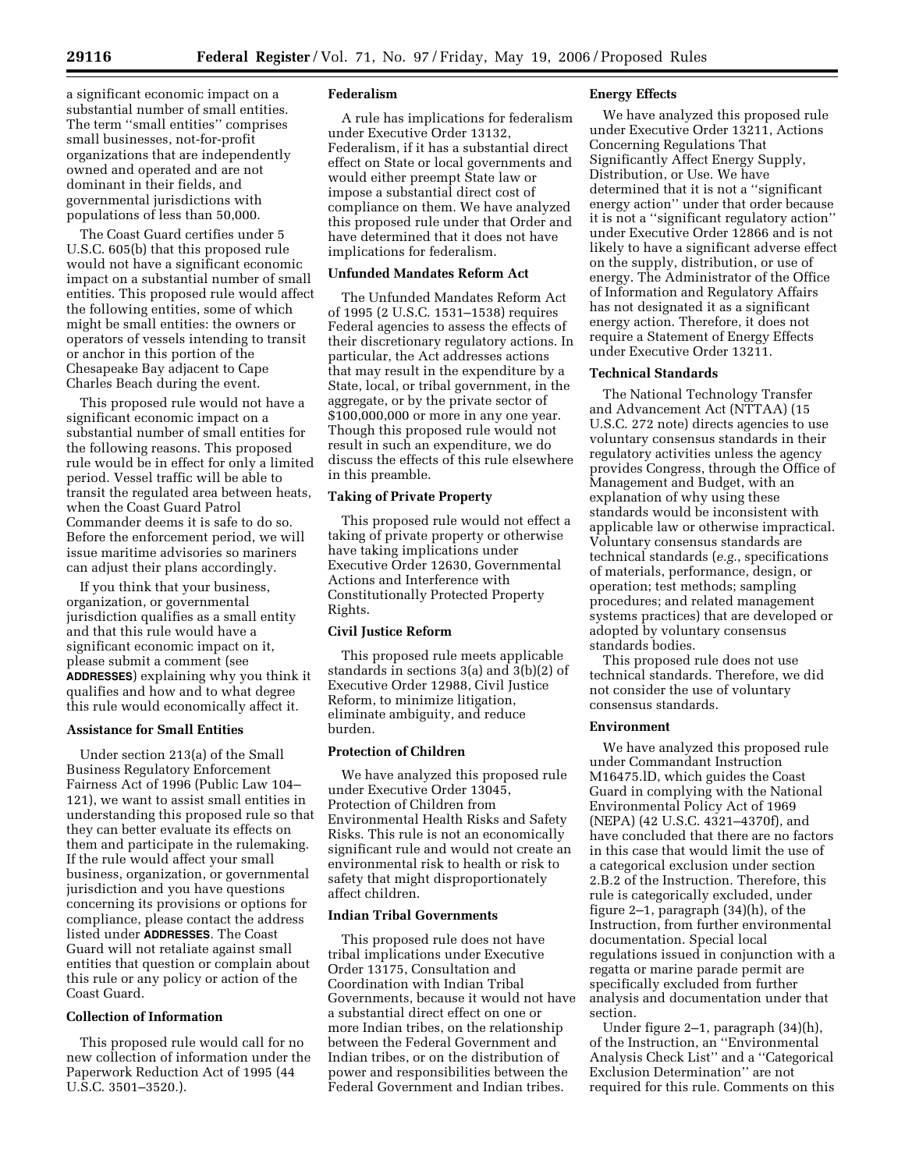a significant economic impact on a substantial number of small entities. The term ''small entities'' comprises small businesses, not-for-profit organizations that are independently owned and operated and are not dominant in their fields, and governmental jurisdictions with populations of less than 50,000.

The Coast Guard certifies under 5 U.S.C. 605(b) that this proposed rule would not have a significant economic impact on a substantial number of small entities. This proposed rule would affect the following entities, some of which might be small entities: the owners or operators of vessels intending to transit or anchor in this portion of the Chesapeake Bay adjacent to Cape Charles Beach during the event.

This proposed rule would not have a significant economic impact on a substantial number of small entities for the following reasons. This proposed rule would be in effect for only a limited period. Vessel traffic will be able to transit the regulated area between heats, when the Coast Guard Patrol Commander deems it is safe to do so. Before the enforcement period, we will issue maritime advisories so mariners can adjust their plans accordingly.

If you think that your business, organization, or governmental jurisdiction qualifies as a small entity and that this rule would have a significant economic impact on it, please submit a comment (see **ADDRESSES**) explaining why you think it qualifies and how and to what degree this rule would economically affect it.

# **Assistance for Small Entities**

Under section 213(a) of the Small Business Regulatory Enforcement Fairness Act of 1996 (Public Law 104– 121), we want to assist small entities in understanding this proposed rule so that they can better evaluate its effects on them and participate in the rulemaking. If the rule would affect your small business, organization, or governmental jurisdiction and you have questions concerning its provisions or options for compliance, please contact the address listed under **ADDRESSES**. The Coast Guard will not retaliate against small entities that question or complain about this rule or any policy or action of the Coast Guard.

### **Collection of Information**

This proposed rule would call for no new collection of information under the Paperwork Reduction Act of 1995 (44 U.S.C. 3501–3520.).

#### **Federalism**

A rule has implications for federalism under Executive Order 13132, Federalism, if it has a substantial direct effect on State or local governments and would either preempt State law or impose a substantial direct cost of compliance on them. We have analyzed this proposed rule under that Order and have determined that it does not have implications for federalism.

# **Unfunded Mandates Reform Act**

The Unfunded Mandates Reform Act of 1995 (2 U.S.C. 1531–1538) requires Federal agencies to assess the effects of their discretionary regulatory actions. In particular, the Act addresses actions that may result in the expenditure by a State, local, or tribal government, in the aggregate, or by the private sector of \$100,000,000 or more in any one year. Though this proposed rule would not result in such an expenditure, we do discuss the effects of this rule elsewhere in this preamble.

#### **Taking of Private Property**

This proposed rule would not effect a taking of private property or otherwise have taking implications under Executive Order 12630, Governmental Actions and Interference with Constitutionally Protected Property Rights.

# **Civil Justice Reform**

This proposed rule meets applicable standards in sections 3(a) and 3(b)(2) of Executive Order 12988, Civil Justice Reform, to minimize litigation, eliminate ambiguity, and reduce burden.

### **Protection of Children**

We have analyzed this proposed rule under Executive Order 13045, Protection of Children from Environmental Health Risks and Safety Risks. This rule is not an economically significant rule and would not create an environmental risk to health or risk to safety that might disproportionately affect children.

# **Indian Tribal Governments**

This proposed rule does not have tribal implications under Executive Order 13175, Consultation and Coordination with Indian Tribal Governments, because it would not have a substantial direct effect on one or more Indian tribes, on the relationship between the Federal Government and Indian tribes, or on the distribution of power and responsibilities between the Federal Government and Indian tribes.

### **Energy Effects**

We have analyzed this proposed rule under Executive Order 13211, Actions Concerning Regulations That Significantly Affect Energy Supply, Distribution, or Use. We have determined that it is not a ''significant energy action'' under that order because it is not a ''significant regulatory action'' under Executive Order 12866 and is not likely to have a significant adverse effect on the supply, distribution, or use of energy. The Administrator of the Office of Information and Regulatory Affairs has not designated it as a significant energy action. Therefore, it does not require a Statement of Energy Effects under Executive Order 13211.

### **Technical Standards**

The National Technology Transfer and Advancement Act (NTTAA) (15 U.S.C. 272 note) directs agencies to use voluntary consensus standards in their regulatory activities unless the agency provides Congress, through the Office of Management and Budget, with an explanation of why using these standards would be inconsistent with applicable law or otherwise impractical. Voluntary consensus standards are technical standards (*e.g.*, specifications of materials, performance, design, or operation; test methods; sampling procedures; and related management systems practices) that are developed or adopted by voluntary consensus standards bodies.

This proposed rule does not use technical standards. Therefore, we did not consider the use of voluntary consensus standards.

### **Environment**

We have analyzed this proposed rule under Commandant Instruction M16475.lD, which guides the Coast Guard in complying with the National Environmental Policy Act of 1969 (NEPA) (42 U.S.C. 4321–4370f), and have concluded that there are no factors in this case that would limit the use of a categorical exclusion under section 2.B.2 of the Instruction. Therefore, this rule is categorically excluded, under figure 2–1, paragraph (34)(h), of the Instruction, from further environmental documentation. Special local regulations issued in conjunction with a regatta or marine parade permit are specifically excluded from further analysis and documentation under that section.

Under figure 2–1, paragraph (34)(h), of the Instruction, an ''Environmental Analysis Check List'' and a ''Categorical Exclusion Determination'' are not required for this rule. Comments on this